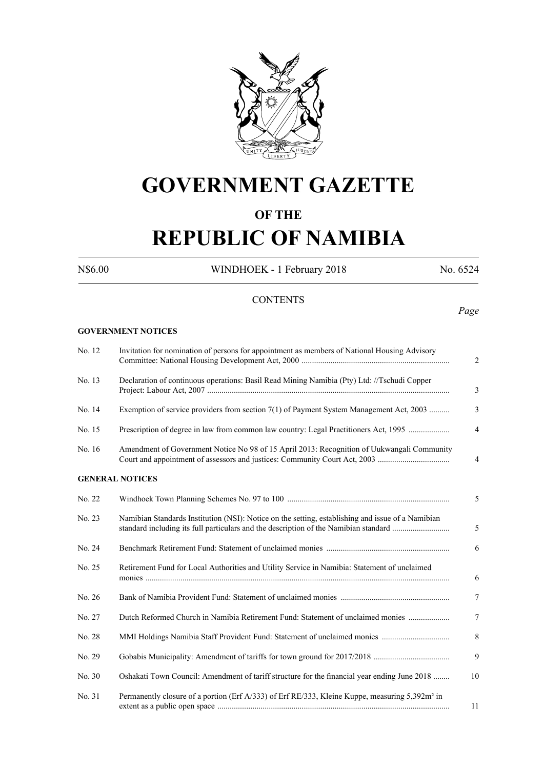

## **GOVERNMENT GAZETTE**

## **OF THE**

# **REPUBLIC OF NAMIBIA**

N\$6.00 WINDHOEK - 1 February 2018 No. 6524

## **CONTENTS**

## *Page*

#### **GOVERNMENT NOTICES**

| No. 12 | Invitation for nomination of persons for appointment as members of National Housing Advisory                                                                                              | 2              |
|--------|-------------------------------------------------------------------------------------------------------------------------------------------------------------------------------------------|----------------|
| No. 13 | Declaration of continuous operations: Basil Read Mining Namibia (Pty) Ltd: //Tschudi Copper                                                                                               | $\mathfrak{Z}$ |
| No. 14 | Exemption of service providers from section 7(1) of Payment System Management Act, 2003                                                                                                   | $\overline{3}$ |
| No. 15 | Prescription of degree in law from common law country: Legal Practitioners Act, 1995                                                                                                      | $\overline{4}$ |
| No. 16 | Amendment of Government Notice No 98 of 15 April 2013: Recognition of Uukwangali Community                                                                                                | $\overline{4}$ |
|        | <b>GENERAL NOTICES</b>                                                                                                                                                                    |                |
| No. 22 |                                                                                                                                                                                           | 5              |
| No. 23 | Namibian Standards Institution (NSI): Notice on the setting, establishing and issue of a Namibian<br>standard including its full particulars and the description of the Namibian standard | 5              |
| No. 24 |                                                                                                                                                                                           | 6              |
| No. 25 | Retirement Fund for Local Authorities and Utility Service in Namibia: Statement of unclaimed                                                                                              | 6              |
| No. 26 |                                                                                                                                                                                           | 7              |
| No. 27 | Dutch Reformed Church in Namibia Retirement Fund: Statement of unclaimed monies                                                                                                           | $\overline{7}$ |
| No. 28 |                                                                                                                                                                                           | 8              |
| No. 29 |                                                                                                                                                                                           | 9              |
| No. 30 | Oshakati Town Council: Amendment of tariff structure for the financial year ending June 2018                                                                                              | 10             |
| No. 31 | Permanently closure of a portion (Erf A/333) of Erf RE/333, Kleine Kuppe, measuring 5,392m <sup>2</sup> in                                                                                | 11             |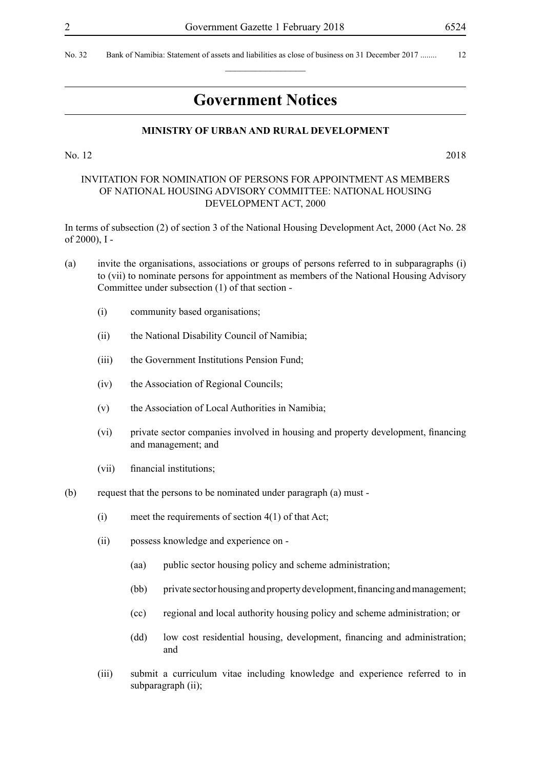## **Government Notices**

 $\overline{\phantom{a}}$  , where  $\overline{\phantom{a}}$ 

#### **MINISTRY OF URBAN AND RURAL DEVELOPMENT**

No. 12 2018

## INVITATION FOR NOMINATION OF PERSONS FOR APPOINTMENT AS MEMBERS OF NATIONAL HOUSING ADVISORY COMMITTEE: NATIONAL HOUSING DEVELOPMENT ACT, 2000

In terms of subsection (2) of section 3 of the National Housing Development Act, 2000 (Act No. 28 of 2000), I -

- (a) invite the organisations, associations or groups of persons referred to in subparagraphs (i) to (vii) to nominate persons for appointment as members of the National Housing Advisory Committee under subsection (1) of that section -
	- (i) community based organisations;
	- (ii) the National Disability Council of Namibia;
	- (iii) the Government Institutions Pension Fund;
	- (iv) the Association of Regional Councils;
	- (v) the Association of Local Authorities in Namibia;
	- (vi) private sector companies involved in housing and property development, financing and management; and
	- (vii) financial institutions;
- (b) request that the persons to be nominated under paragraph (a) must
	- (i) meet the requirements of section  $4(1)$  of that Act;
	- (ii) possess knowledge and experience on
		- (aa) public sector housing policy and scheme administration;
		- (bb) private sector housing and property development, financing and management;
		- (cc) regional and local authority housing policy and scheme administration; or
		- (dd) low cost residential housing, development, financing and administration; and
	- (iii) submit a curriculum vitae including knowledge and experience referred to in subparagraph (ii);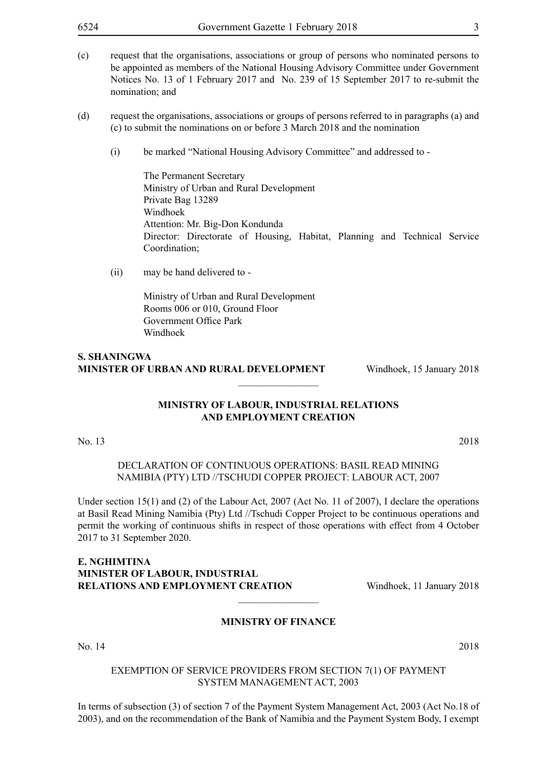- 
- (c) request that the organisations, associations or group of persons who nominated persons to be appointed as members of the National Housing Advisory Committee under Government Notices No. 13 of 1 February 2017 and No. 239 of 15 September 2017 to re-submit the nomination; and
- (d) request the organisations, associations or groups of persons referred to in paragraphs (a) and (c) to submit the nominations on or before 3 March 2018 and the nomination
	- (i) be marked "National Housing Advisory Committee" and addressed to -

The Permanent Secretary Ministry of Urban and Rural Development Private Bag 13289 Windhoek Attention: Mr. Big-Don Kondunda Director: Directorate of Housing, Habitat, Planning and Technical Service Coordination;

(ii) may be hand delivered to -

Ministry of Urban and Rural Development Rooms 006 or 010, Ground Floor Government Office Park Windhoek

## **S. Shaningwa Minister of Urban and Rural Development** Windhoek, 15 January 2018

## **MINISTRY OF LABOUR, INDUSTRIAL RELATIONS AND EMPLOYMENT CREATION**

 $\overline{\phantom{a}}$  , where  $\overline{\phantom{a}}$ 

No. 13 2018

DECLARATION OF CONTINUOUS OPERATIONS: BASIL READ MINING NAMIBIA (PTY) LTD //TSCHUDI COPPER PROJECT: LABOUR ACT, 2007

Under section 15(1) and (2) of the Labour Act, 2007 (Act No. 11 of 2007), I declare the operations at Basil Read Mining Namibia (Pty) Ltd //Tschudi Copper Project to be continuous operations and permit the working of continuous shifts in respect of those operations with effect from 4 October 2017 to 31 September 2020.

## **E. Nghimtina Minister of Labour, Industrial Relations and Employment Creation** Windhoek, 11 January 2018

## **MINISTRY OF FINANCE**

 $\overline{\phantom{a}}$  , where  $\overline{\phantom{a}}$ 

No. 14 2018

#### EXEMPTION OF SERVICE PROVIDERS FROM SECTION 7(1) OF PAYMENT SYSTEM MANAGEMENT ACT, 2003

In terms of subsection (3) of section 7 of the Payment System Management Act, 2003 (Act No.18 of 2003), and on the recommendation of the Bank of Namibia and the Payment System Body, I exempt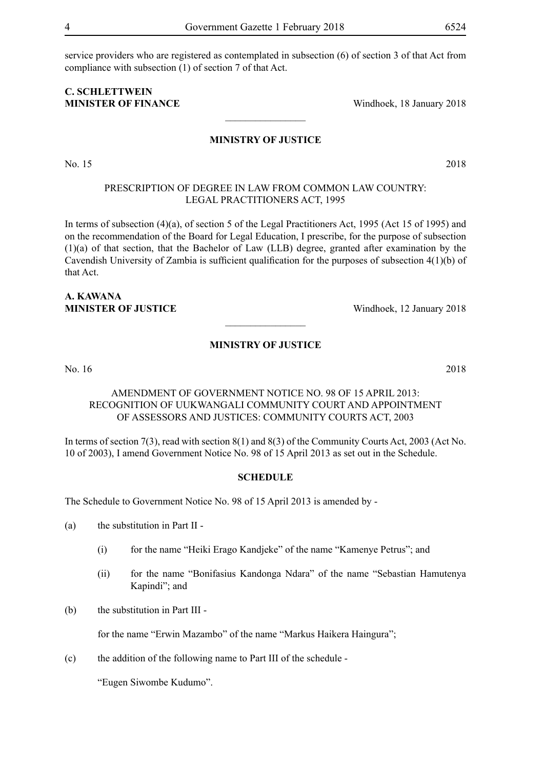service providers who are registered as contemplated in subsection (6) of section 3 of that Act from compliance with subsection (1) of section 7 of that Act.

## **C. Schlettwein MINISTER OF FINANCE** Windhoek, 18 January 2018

#### **MINISTRY OF JUSTICE**

 $\frac{1}{2}$ 

PRESCRIPTION OF DEGREE IN LAW FROM COMMON LAW COUNTRY: LEGAL PRACTITIONERS ACT, 1995

In terms of subsection (4)(a), of section 5 of the Legal Practitioners Act, 1995 (Act 15 of 1995) and on the recommendation of the Board for Legal Education, I prescribe, for the purpose of subsection (1)(a) of that section, that the Bachelor of Law (LLB) degree, granted after examination by the Cavendish University of Zambia is sufficient qualification for the purposes of subsection 4(1)(b) of that Act.

## **A. Kawana MINISTER OF JUSTICE** Windhoek, 12 January 2018

## **MINISTRY OF JUSTICE**

 $\overline{\phantom{a}}$  , where  $\overline{\phantom{a}}$ 

No. 16 2018

## AMENDMENT OF GOVERNMENT NOTICE NO. 98 OF 15 APRIL 2013: RECOGNITION OF UUKWANGALI COMMUNITY COURT AND APPOINTMENT OF ASSESSORS AND JUSTICES: COMMUNITY COURTS ACT, 2003

In terms of section 7(3), read with section 8(1) and 8(3) of the Community Courts Act, 2003 (Act No. 10 of 2003), I amend Government Notice No. 98 of 15 April 2013 as set out in the Schedule.

## **SCHEDULE**

The Schedule to Government Notice No. 98 of 15 April 2013 is amended by -

(a) the substitution in Part II -

- (i) for the name "Heiki Erago Kandjeke" of the name "Kamenye Petrus"; and
- (ii) for the name "Bonifasius Kandonga Ndara" of the name "Sebastian Hamutenya Kapindi"; and
- (b) the substitution in Part III -

for the name "Erwin Mazambo" of the name "Markus Haikera Haingura";

(c) the addition of the following name to Part III of the schedule -

"Eugen Siwombe Kudumo".

No. 15 2018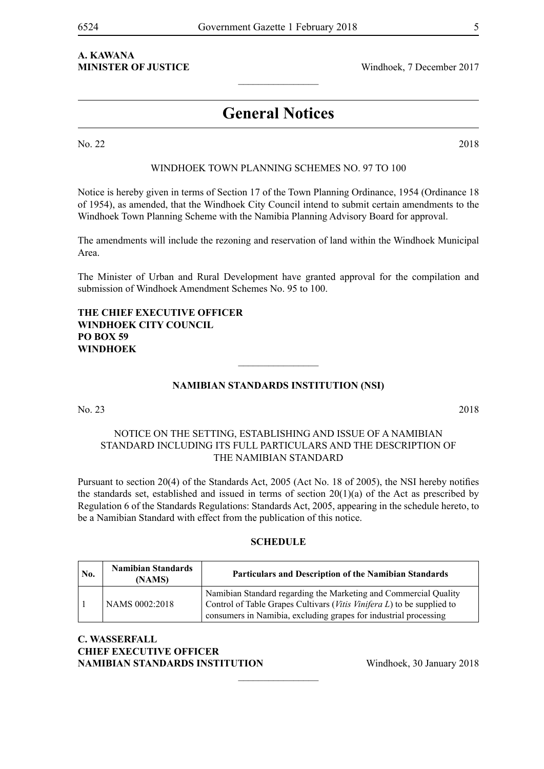# **A. Kawana**

**MINISTER OF JUSTICE** Windhoek, 7 December 2017

## **General Notices**

 $\frac{1}{2}$ 

No. 22 2018

## Windhoek Town Planning Schemes No. 97 to 100

Notice is hereby given in terms of Section 17 of the Town Planning Ordinance, 1954 (Ordinance 18 of 1954), as amended, that the Windhoek City Council intend to submit certain amendments to the Windhoek Town Planning Scheme with the Namibia Planning Advisory Board for approval.

The amendments will include the rezoning and reservation of land within the Windhoek Municipal Area.

The Minister of Urban and Rural Development have granted approval for the compilation and submission of Windhoek Amendment Schemes No. 95 to 100.

## **The Chief Executive Officer Windhoek City Council PO Box 59 Windhoek**

## **NAMIBIAN STANDARDS INSTITUTION (NSI)**

 $\frac{1}{2}$ 

No. 23 2018

## NOTICE ON THE SETTING, ESTABLISHING AND ISSUE OF A NAMIBIAN STANDARD INCLUDING ITS FULL PARTICULARS AND THE DESCRIPTION OF THE NAMIBIAN STANDARD

Pursuant to section 20(4) of the Standards Act, 2005 (Act No. 18 of 2005), the NSI hereby notifies the standards set, established and issued in terms of section 20(1)(a) of the Act as prescribed by Regulation 6 of the Standards Regulations: Standards Act, 2005, appearing in the schedule hereto, to be a Namibian Standard with effect from the publication of this notice.

#### **SCHEDULE**

| No. | <b>Namibian Standards</b><br>(NAMS) | <b>Particulars and Description of the Namibian Standards</b>                                                                                                                                                   |
|-----|-------------------------------------|----------------------------------------------------------------------------------------------------------------------------------------------------------------------------------------------------------------|
|     | NAMS 0002:2018                      | Namibian Standard regarding the Marketing and Commercial Quality<br>Control of Table Grapes Cultivars (Vitis Vinifera L) to be supplied to<br>consumers in Namibia, excluding grapes for industrial processing |

 $\frac{1}{2}$ 

## **C. Wasserfall Chief Executive Officer NAMIBIAN STANDARDS INSTITUTION** Windhoek, 30 January 2018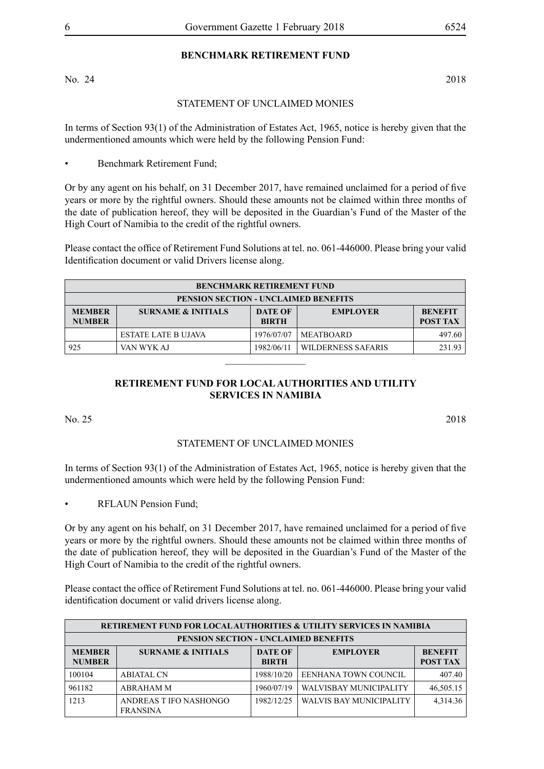## **BENCHMARK RETIREMENT FUND**

No. 24 2018

## STATEMENT OF UNCLAIMED MONIES

In terms of Section 93(1) of the Administration of Estates Act, 1965, notice is hereby given that the undermentioned amounts which were held by the following Pension Fund:

• Benchmark Retirement Fund;

Or by any agent on his behalf, on 31 December 2017, have remained unclaimed for a period of five years or more by the rightful owners. Should these amounts not be claimed within three months of the date of publication hereof, they will be deposited in the Guardian's Fund of the Master of the High Court of Namibia to the credit of the rightful owners.

Please contact the office of Retirement Fund Solutions at tel. no. 061-446000. Please bring your valid Identification document or valid Drivers license along.

| <b>BENCHMARK RETIREMENT FUND</b>                                                                                                                          |                                             |            |                    |        |  |
|-----------------------------------------------------------------------------------------------------------------------------------------------------------|---------------------------------------------|------------|--------------------|--------|--|
|                                                                                                                                                           | <b>PENSION SECTION - UNCLAIMED BENEFITS</b> |            |                    |        |  |
| <b>SURNAME &amp; INITIALS</b><br><b>DATE OF</b><br><b>MEMBER</b><br><b>EMPLOYER</b><br><b>BENEFIT</b><br><b>NUMBER</b><br><b>POST TAX</b><br><b>BIRTH</b> |                                             |            |                    |        |  |
|                                                                                                                                                           | <b>ESTATE LATE B UJAVA</b>                  | 1976/07/07 | <b>MEATBOARD</b>   | 497.60 |  |
| 925                                                                                                                                                       | VAN WYK AJ                                  | 1982/06/11 | WILDERNESS SAFARIS | 231.93 |  |
|                                                                                                                                                           |                                             |            |                    |        |  |

## **RETIREMENT FUND FOR LOCAL AUTHORITIES AND UTILITY SERVICES IN NAMIBIA**

No. 25 2018

## STATEMENT OF UNCLAIMED MONIES

In terms of Section 93(1) of the Administration of Estates Act, 1965, notice is hereby given that the undermentioned amounts which were held by the following Pension Fund:

RFLAUN Pension Fund;

Or by any agent on his behalf, on 31 December 2017, have remained unclaimed for a period of five years or more by the rightful owners. Should these amounts not be claimed within three months of the date of publication hereof, they will be deposited in the Guardian's Fund of the Master of the High Court of Namibia to the credit of the rightful owners.

Please contact the office of Retirement Fund Solutions at tel. no. 061-446000. Please bring your valid identification document or valid drivers license along.

|                                | <b>RETIREMENT FUND FOR LOCAL AUTHORITIES &amp; UTILITY SERVICES IN NAMIBIA</b>     |            |                         |           |  |  |
|--------------------------------|------------------------------------------------------------------------------------|------------|-------------------------|-----------|--|--|
|                                | <b>PENSION SECTION - UNCLAIMED BENEFITS</b>                                        |            |                         |           |  |  |
| <b>MEMBER</b><br><b>NUMBER</b> | <b>DATE OF</b><br><b>SURNAME &amp; INITIALS</b><br><b>EMPLOYER</b><br><b>BIRTH</b> |            |                         |           |  |  |
| 100104                         | <b>ABIATAL CN</b>                                                                  | 1988/10/20 | EENHANA TOWN COUNCIL    | 407.40    |  |  |
| 961182                         | <b>ABRAHAM M</b>                                                                   | 1960/07/19 | WALVISBAY MUNICIPALITY  | 46,505.15 |  |  |
| 1213                           | ANDREAS T IFO NASHONGO<br><b>FRANSINA</b>                                          | 1982/12/25 | WALVIS BAY MUNICIPALITY | 4,314.36  |  |  |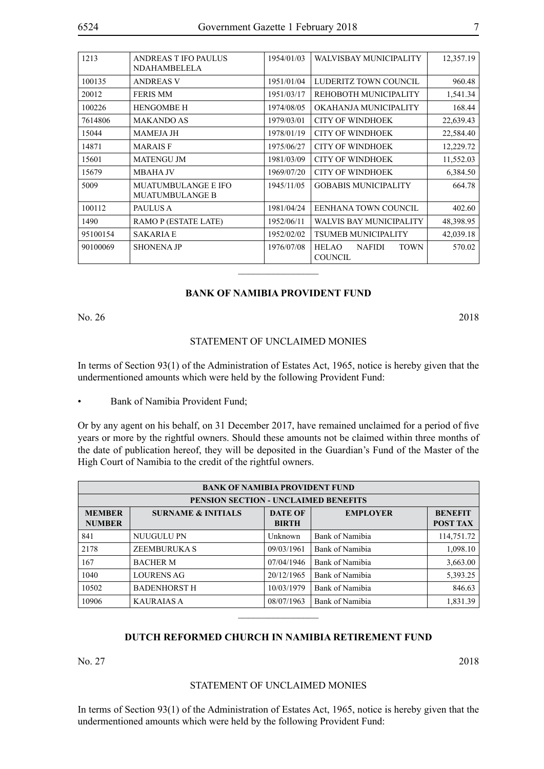| 1213     | <b>ANDREAS T IFO PAULUS</b><br><b>NDAHAMBELELA</b>   | 1954/01/03 | WALVISBAY MUNICIPALITY                                         | 12,357.19 |
|----------|------------------------------------------------------|------------|----------------------------------------------------------------|-----------|
| 100135   | <b>ANDREAS V</b>                                     | 1951/01/04 | LUDERITZ TOWN COUNCIL                                          | 960.48    |
| 20012    | <b>FERIS MM</b>                                      | 1951/03/17 | REHOBOTH MUNICIPALITY                                          | 1,541.34  |
| 100226   | <b>HENGOMBE H</b>                                    | 1974/08/05 | OKAHANJA MUNICIPALITY                                          | 168.44    |
| 7614806  | <b>MAKANDO AS</b>                                    | 1979/03/01 | <b>CITY OF WINDHOEK</b>                                        | 22,639.43 |
| 15044    | <b>MAMEJA JH</b>                                     | 1978/01/19 | <b>CITY OF WINDHOEK</b>                                        | 22,584.40 |
| 14871    | <b>MARAISF</b>                                       | 1975/06/27 | <b>CITY OF WINDHOEK</b>                                        | 12,229.72 |
| 15601    | <b>MATENGU JM</b>                                    | 1981/03/09 | <b>CITY OF WINDHOEK</b>                                        | 11,552.03 |
| 15679    | MBAHA JV                                             | 1969/07/20 | <b>CITY OF WINDHOEK</b>                                        | 6,384.50  |
| 5009     | <b>MUATUMBULANGE E IFO</b><br><b>MUATUMBULANGE B</b> | 1945/11/05 | <b>GOBABIS MUNICIPALITY</b>                                    | 664.78    |
| 100112   | <b>PAULUS A</b>                                      | 1981/04/24 | EENHANA TOWN COUNCIL                                           | 402.60    |
| 1490     | RAMO P (ESTATE LATE)                                 | 1952/06/11 | <b>WALVIS BAY MUNICIPALITY</b>                                 | 48,398.95 |
| 95100154 | <b>SAKARIA E</b>                                     | 1952/02/02 | <b>TSUMEB MUNICIPALITY</b>                                     | 42,039.18 |
| 90100069 | <b>SHONENA JP</b>                                    | 1976/07/08 | <b>HELAO</b><br><b>TOWN</b><br><b>NAFIDI</b><br><b>COUNCIL</b> | 570.02    |

#### **BANK OF NAMIBIA PROVIDENT FUND**

No. 26 2018

#### STATEMENT OF UNCLAIMED MONIES

In terms of Section 93(1) of the Administration of Estates Act, 1965, notice is hereby given that the undermentioned amounts which were held by the following Provident Fund:

Bank of Namibia Provident Fund;

Or by any agent on his behalf, on 31 December 2017, have remained unclaimed for a period of five years or more by the rightful owners. Should these amounts not be claimed within three months of the date of publication hereof, they will be deposited in the Guardian's Fund of the Master of the High Court of Namibia to the credit of the rightful owners.

|                                | <b>BANK OF NAMIBIA PROVIDENT FUND</b> |                 |                                   |            |  |  |
|--------------------------------|---------------------------------------|-----------------|-----------------------------------|------------|--|--|
|                                | PENSION SECTION - UNCLAIMED BENEFITS  |                 |                                   |            |  |  |
| <b>MEMBER</b><br><b>NUMBER</b> | <b>SURNAME &amp; INITIALS</b>         | <b>EMPLOYER</b> | <b>BENEFIT</b><br><b>POST TAX</b> |            |  |  |
| 841                            | NUUGULU PN                            | Unknown         | Bank of Namibia                   | 114,751.72 |  |  |
| 2178                           | <b>ZEEMBURUKA S</b>                   | 09/03/1961      | Bank of Namibia                   | 1,098.10   |  |  |
| 167                            | <b>BACHER M</b>                       | 07/04/1946      | Bank of Namibia                   | 3,663.00   |  |  |
| 1040                           | <b>LOURENS AG</b>                     | 20/12/1965      | Bank of Namibia                   | 5,393.25   |  |  |
| 10502                          | <b>BADENHORST H</b>                   | 10/03/1979      | Bank of Namibia                   | 846.63     |  |  |
| 10906                          | <b>KAURAIAS A</b>                     | 08/07/1963      | Bank of Namibia                   | 1,831.39   |  |  |

## **DUTCH REFORMED CHURCH IN NAMIBIA RETIREMENT FUND**

 $\overline{\phantom{a}}$  , where  $\overline{\phantom{a}}$ 

No. 27 2018

## STATEMENT OF UNCLAIMED MONIES

In terms of Section 93(1) of the Administration of Estates Act, 1965, notice is hereby given that the undermentioned amounts which were held by the following Provident Fund: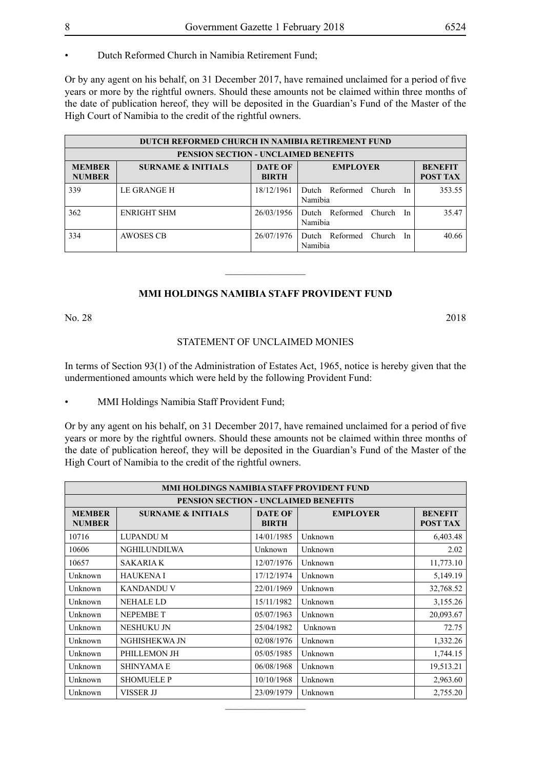Or by any agent on his behalf, on 31 December 2017, have remained unclaimed for a period of five years or more by the rightful owners. Should these amounts not be claimed within three months of the date of publication hereof, they will be deposited in the Guardian's Fund of the Master of the High Court of Namibia to the credit of the rightful owners.

|                                | <b>DUTCH REFORMED CHURCH IN NAMIBIA RETIREMENT FUND</b>                                               |            |                                                |        |  |  |  |
|--------------------------------|-------------------------------------------------------------------------------------------------------|------------|------------------------------------------------|--------|--|--|--|
|                                | <b>PENSION SECTION - UNCLAIMED BENEFITS</b>                                                           |            |                                                |        |  |  |  |
| <b>MEMBER</b><br><b>NUMBER</b> | <b>DATE OF</b><br><b>SURNAME &amp; INITIALS</b><br><b>EMPLOYER</b><br><b>POST TAX</b><br><b>BIRTH</b> |            |                                                |        |  |  |  |
| 339                            | LE GRANGE H                                                                                           | 18/12/1961 | Dutch Reformed<br>Church<br>In<br>Namibia      | 353.55 |  |  |  |
| 362                            | ENRIGHT SHM                                                                                           | 26/03/1956 | Reformed<br>Church<br>Dutch<br>In<br>Namibia   | 35.47  |  |  |  |
| 334                            | AWOSES CB                                                                                             | 26/07/1976 | Reformed<br>Church.<br>Dutch.<br>In<br>Namibia | 40.66  |  |  |  |

## **MMI HOLDINGS NAMIBIA STAFF PROVIDENT FUND**

 $\frac{1}{2}$ 

No. 28 2018

## STATEMENT OF UNCLAIMED MONIES

In terms of Section 93(1) of the Administration of Estates Act, 1965, notice is hereby given that the undermentioned amounts which were held by the following Provident Fund:

• MMI Holdings Namibia Staff Provident Fund;

Or by any agent on his behalf, on 31 December 2017, have remained unclaimed for a period of five years or more by the rightful owners. Should these amounts not be claimed within three months of the date of publication hereof, they will be deposited in the Guardian's Fund of the Master of the High Court of Namibia to the credit of the rightful owners.

| MMI HOLDINGS NAMIBIA STAFF PROVIDENT FUND                                                                                                          |                                      |            |         |           |  |  |  |
|----------------------------------------------------------------------------------------------------------------------------------------------------|--------------------------------------|------------|---------|-----------|--|--|--|
|                                                                                                                                                    | PENSION SECTION - UNCLAIMED BENEFITS |            |         |           |  |  |  |
| <b>BENEFIT</b><br><b>MEMBER</b><br><b>SURNAME &amp; INITIALS</b><br><b>DATE OF</b><br><b>EMPLOYER</b><br>POST TAX<br><b>NUMBER</b><br><b>BIRTH</b> |                                      |            |         |           |  |  |  |
| 10716                                                                                                                                              | <b>LUPANDU M</b>                     | 14/01/1985 | Unknown | 6,403.48  |  |  |  |
| 10606                                                                                                                                              | <b>NGHILUNDILWA</b>                  | Unknown    | Unknown | 2.02      |  |  |  |
| 10657                                                                                                                                              | <b>SAKARIA K</b>                     | 12/07/1976 | Unknown | 11,773.10 |  |  |  |
| Unknown                                                                                                                                            | <b>HAUKENAI</b>                      | 17/12/1974 | Unknown | 5,149.19  |  |  |  |
| Unknown                                                                                                                                            | <b>KANDANDU V</b>                    | 22/01/1969 | Unknown | 32,768.52 |  |  |  |
| Unknown                                                                                                                                            | <b>NEHALE LD</b>                     | 15/11/1982 | Unknown | 3,155.26  |  |  |  |
| Unknown                                                                                                                                            | <b>NEPEMBET</b>                      | 05/07/1963 | Unknown | 20,093.67 |  |  |  |
| Unknown                                                                                                                                            | <b>NESHUKU JN</b>                    | 25/04/1982 | Unknown | 72.75     |  |  |  |
| Unknown                                                                                                                                            | NGHISHEKWA JN                        | 02/08/1976 | Unknown | 1,332.26  |  |  |  |
| Unknown                                                                                                                                            | PHILLEMON JH                         | 05/05/1985 | Unknown | 1,744.15  |  |  |  |
| Unknown                                                                                                                                            | <b>SHINYAMA E</b>                    | 06/08/1968 | Unknown | 19,513.21 |  |  |  |
| Unknown                                                                                                                                            | <b>SHOMUELE P</b>                    | 10/10/1968 | Unknown | 2,963.60  |  |  |  |
| Unknown                                                                                                                                            | VISSER JJ                            | 23/09/1979 | Unknown | 2,755.20  |  |  |  |

 $\overline{\phantom{a}}$  , where  $\overline{\phantom{a}}$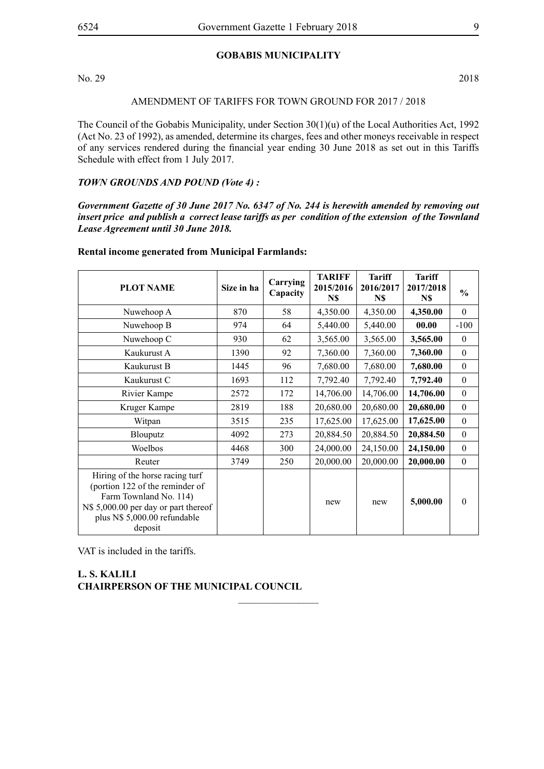## **GOBABIS MUNICIPALITY**

No. 29 2018

## AMENDMENT OF TARIFFS FOR TOWN GROUND FOR 2017 / 2018

The Council of the Gobabis Municipality, under Section 30(1)(u) of the Local Authorities Act, 1992 (Act No. 23 of 1992), as amended, determine its charges, fees and other moneys receivable in respect of any services rendered during the financial year ending 30 June 2018 as set out in this Tariffs Schedule with effect from 1 July 2017.

#### *TOWN GROUNDS AND POUND (Vote 4) :*

*Government Gazette of 30 June 2017 No. 6347 of No. 244 is herewith amended by removing out insert price and publish a correct lease tariffs as per condition of the extension of the Townland Lease Agreement until 30 June 2018.* 

#### **Rental income generated from Municipal Farmlands:**

| <b>PLOT NAME</b>                                                                                                                                                                | Size in ha | Carrying<br>Capacity | <b>TARIFF</b><br>2015/2016<br>N\$ | <b>Tariff</b><br>2016/2017<br>N\$ | <b>Tariff</b><br>2017/2018<br>N\$ | $\frac{0}{0}$ |
|---------------------------------------------------------------------------------------------------------------------------------------------------------------------------------|------------|----------------------|-----------------------------------|-----------------------------------|-----------------------------------|---------------|
| Nuwehoop A                                                                                                                                                                      | 870        | 58                   | 4,350.00                          | 4,350.00                          | 4,350.00                          | $\theta$      |
| Nuwehoop B                                                                                                                                                                      | 974        | 64                   | 5,440.00                          | 5,440.00                          | 00.00                             | $-100$        |
| Nuwehoop C                                                                                                                                                                      | 930        | 62                   | 3,565.00                          | 3,565.00                          | 3,565.00                          | $\theta$      |
| Kaukurust A                                                                                                                                                                     | 1390       | 92                   | 7,360.00                          | 7,360.00                          | 7,360.00                          | $\theta$      |
| Kaukurust B                                                                                                                                                                     | 1445       | 96                   | 7,680.00                          | 7,680.00                          | 7,680.00                          | $\theta$      |
| Kaukurust C                                                                                                                                                                     | 1693       | 112                  | 7,792.40                          | 7,792.40                          | 7,792.40                          | $\theta$      |
| Rivier Kampe                                                                                                                                                                    | 2572       | 172                  | 14,706.00                         | 14,706.00                         | 14,706.00                         | $\mathbf{0}$  |
| Kruger Kampe                                                                                                                                                                    | 2819       | 188                  | 20,680.00                         | 20,680.00                         | 20,680.00                         | $\theta$      |
| Witpan                                                                                                                                                                          | 3515       | 235                  | 17,625.00                         | 17,625.00                         | 17,625.00                         | $\theta$      |
| <b>Blouputz</b>                                                                                                                                                                 | 4092       | 273                  | 20,884.50                         | 20,884.50                         | 20,884.50                         | $\theta$      |
| Woelbos                                                                                                                                                                         | 4468       | 300                  | 24,000.00                         | 24,150.00                         | 24,150.00                         | $\theta$      |
| Reuter                                                                                                                                                                          | 3749       | 250                  | 20,000.00                         | 20,000.00                         | 20,000.00                         | $\mathbf{0}$  |
| Hiring of the horse racing turf<br>(portion 122 of the reminder of<br>Farm Townland No. 114)<br>N\$ 5,000.00 per day or part thereof<br>plus N\$ 5,000.00 refundable<br>deposit |            |                      | new                               | new                               | 5,000.00                          | $\theta$      |

 $\overline{\phantom{a}}$  , where  $\overline{\phantom{a}}$ 

VAT is included in the tariffs.

## **L. S. KALILI CHAIRPERSON OF THE MUNICIPAL COUNCIL**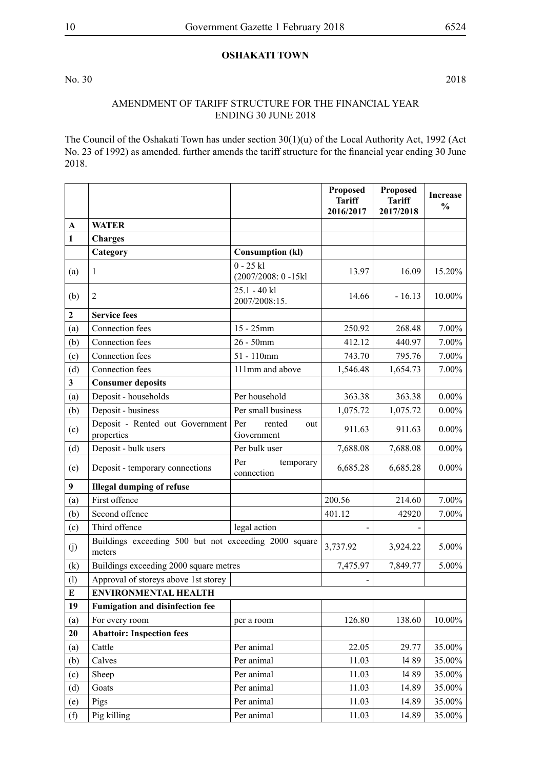## **OSHAKATI TOWN**

No. 30 2018

## AMENDMENT OF TARIFF STRUCTURE FOR THE FINANCIAL YEAR ENDING 30 JUNE 2018

The Council of the Oshakati Town has under section 30(1)(u) of the Local Authority Act, 1992 (Act No. 23 of 1992) as amended. further amends the tariff structure for the financial year ending 30 June 2018.

|                  |                                                                 |                                       | Proposed<br><b>Tariff</b><br>2016/2017 | Proposed<br><b>Tariff</b><br>2017/2018 | <b>Increase</b><br>$\frac{0}{0}$ |
|------------------|-----------------------------------------------------------------|---------------------------------------|----------------------------------------|----------------------------------------|----------------------------------|
| A                | <b>WATER</b>                                                    |                                       |                                        |                                        |                                  |
| 1                | <b>Charges</b>                                                  |                                       |                                        |                                        |                                  |
|                  | Category                                                        | <b>Consumption (kl)</b>               |                                        |                                        |                                  |
| (a)              | 1                                                               | $0 - 25$ kl<br>$(2007/2008: 0 - 15k]$ | 13.97                                  | 16.09                                  | 15.20%                           |
| (b)              | $\overline{2}$                                                  | 25.1 - 40 kl<br>2007/2008:15.         | 14.66                                  | $-16.13$                               | 10.00%                           |
| $\mathbf{2}$     | <b>Service fees</b>                                             |                                       |                                        |                                        |                                  |
| (a)              | Connection fees                                                 | $15 - 25$ mm                          | 250.92                                 | 268.48                                 | 7.00%                            |
| (b)              | Connection fees                                                 | $26 - 50$ mm                          | 412.12                                 | 440.97                                 | 7.00%                            |
| (c)              | Connection fees                                                 | $51 - 110$ mm                         | 743.70                                 | 795.76                                 | $7.00\%$                         |
| (d)              | Connection fees                                                 | 111mm and above                       | 1,546.48                               | 1,654.73                               | 7.00%                            |
| $\mathbf{3}$     | <b>Consumer deposits</b>                                        |                                       |                                        |                                        |                                  |
| (a)              | Deposit - households                                            | Per household                         | 363.38                                 | 363.38                                 | $0.00\%$                         |
| (b)              | Deposit - business                                              | Per small business                    | 1,075.72                               | 1,075.72                               | $0.00\%$                         |
| (c)              | Deposit - Rented out Government<br>properties                   | Per<br>rented<br>out<br>Government    | 911.63                                 | 911.63                                 | $0.00\%$                         |
| (d)              | Deposit - bulk users                                            | Per bulk user                         | 7,688.08                               | 7,688.08                               | $0.00\%$                         |
| (e)              | Deposit - temporary connections                                 | Per<br>temporary<br>connection        | 6,685.28                               | 6,685.28                               | $0.00\%$                         |
| $\boldsymbol{9}$ | <b>Illegal dumping of refuse</b>                                |                                       |                                        |                                        |                                  |
| (a)              | First offence                                                   |                                       | 200.56                                 | 214.60                                 | 7.00%                            |
| (b)              | Second offence                                                  |                                       | 401.12                                 | 42920                                  | $7.00\%$                         |
| (c)              | Third offence                                                   | legal action                          |                                        |                                        |                                  |
| (j)              | Buildings exceeding 500 but not exceeding 2000 square<br>meters |                                       | 3,737.92                               | 3,924.22                               | 5.00%                            |
| (k)              | Buildings exceeding 2000 square metres                          |                                       | 7,475.97                               | 7,849.77                               | 5.00%                            |
| (1)              | Approval of storeys above 1st storey                            |                                       |                                        |                                        |                                  |
| E                | <b>ENVIRONMENTAL HEALTH</b>                                     |                                       |                                        |                                        |                                  |
| 19               | <b>Fumigation and disinfection fee</b>                          |                                       |                                        |                                        |                                  |
| (a)              | For every room                                                  | per a room                            | 126.80                                 | 138.60                                 | 10.00%                           |
| 20               | <b>Abattoir: Inspection fees</b>                                |                                       |                                        |                                        |                                  |
| (a)              | Cattle                                                          | Per animal                            | 22.05                                  | 29.77                                  | 35.00%                           |
| (b)              | Calves                                                          | Per animal                            | 11.03                                  | 1489                                   | 35.00%                           |
| (c)              | Sheep                                                           | Per animal                            | 11.03                                  | 14 89                                  | 35.00%                           |
| (d)              | Goats                                                           | Per animal                            | 11.03                                  | 14.89                                  | 35.00%                           |
| (e)              | Pigs                                                            | Per animal                            | 11.03                                  | 14.89                                  | 35.00%                           |
| (f)              | Pig killing                                                     | Per animal                            | 11.03                                  | 14.89                                  | 35.00%                           |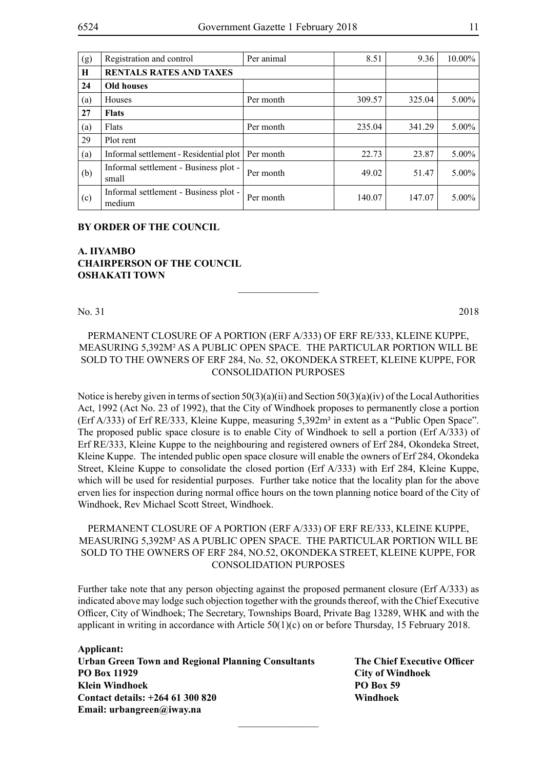| (g) | Registration and control                        | Per animal | 8.51   | 9.36   | $10.00\%$ |
|-----|-------------------------------------------------|------------|--------|--------|-----------|
| H   | <b>RENTALS RATES AND TAXES</b>                  |            |        |        |           |
| 24  | <b>Old houses</b>                               |            |        |        |           |
| (a) | Houses                                          | Per month  | 309.57 | 325.04 | $5.00\%$  |
| 27  | <b>Flats</b>                                    |            |        |        |           |
| (a) | Flats                                           | Per month  | 235.04 | 341.29 | $5.00\%$  |
| 29  | Plot rent                                       |            |        |        |           |
| (a) | Informal settlement - Residential plot          | Per month  | 22.73  | 23.87  | $5.00\%$  |
| (b) | Informal settlement - Business plot -<br>small  | Per month  | 49.02  | 51.47  | $5.00\%$  |
| (c) | Informal settlement - Business plot -<br>medium | Per month  | 140.07 | 147.07 | $5.00\%$  |

## **BY ORDER OF THE COUNCIL**

## **A. IIYAMBO CHAIRPERSON OF THE COUNCIL OSHAKATI TOWN**

No. 31 2018

## PERMANENT CLOSURE OF A PORTION (ERF A/333) OF ERF RE/333, KLEINE KUPPE, MEASURING 5,392m² AS A PUBLIC OPEN SPACE. THE PARTICULAR PORTION WILL BE SOLD TO THE OWNERS OF ERF 284, No. 52, OKONDEKA STREET, KLEINE KUPPE, FOR CONSOLIDATION PURPOSES

 $\frac{1}{2}$ 

Notice is hereby given in terms of section 50(3)(a)(ii) and Section 50(3)(a)(iv) of the Local Authorities Act, 1992 (Act No. 23 of 1992), that the City of Windhoek proposes to permanently close a portion (Erf A/333) of Erf RE/333, Kleine Kuppe, measuring 5,392m² in extent as a "Public Open Space". The proposed public space closure is to enable City of Windhoek to sell a portion (Erf A/333) of Erf RE/333, Kleine Kuppe to the neighbouring and registered owners of Erf 284, Okondeka Street, Kleine Kuppe. The intended public open space closure will enable the owners of Erf 284, Okondeka Street, Kleine Kuppe to consolidate the closed portion (Erf A/333) with Erf 284, Kleine Kuppe, which will be used for residential purposes. Further take notice that the locality plan for the above erven lies for inspection during normal office hours on the town planning notice board of the City of Windhoek, Rev Michael Scott Street, Windhoek.

## PERMANENT CLOSURE OF A PORTION (ERF A/333) OF ERF RE/333, KLEINE KUPPE, MEASURING 5,392m² AS A PUBLIC OPEN SPACE. THE PARTICULAR PORTION WILL BE SOLD TO THE OWNERS OF ERF 284, No.52, OKONDEKA STREET, KLEINE KUPPE, FOR CONSOLIDATION PURPOSES

Further take note that any person objecting against the proposed permanent closure (Erf A/333) as indicated above may lodge such objection together with the grounds thereof, with the Chief Executive Officer, City of Windhoek; The Secretary, Townships Board, Private Bag 13289, WHK and with the applicant in writing in accordance with Article 50(1)(c) on or before Thursday, 15 February 2018.

 $\overline{\phantom{a}}$  , where  $\overline{\phantom{a}}$ 

**Applicant: Urban Green Town and Regional Planning Consultants The Chief Executive Officer PO Box 11929 City of Windhoek Klein Windhoek PO Box 59 Contact details: +264 61 300 820 Windhoek Email: urbangreen@iway.na**